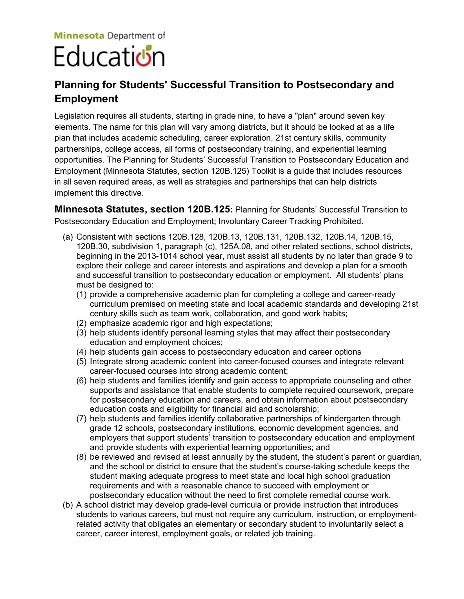## **Minnesota** Department of Educati**ย์**ท

## **Planning for Students' Successful Transition to Postsecondary and Employment**

Legislation requires all students, starting in grade nine, to have a "plan" around seven key elements. The name for this plan will vary among districts, but it should be looked at as a life plan that includes academic scheduling, career exploration, 21st century skills, community partnerships, college access, all forms of postsecondary training, and experiential learning opportunities. The Planning for Students' Successful Transition to Postsecondary Education and Employment (Minnesota Statutes, section 120B.125) Toolkit is a guide that includes resources in all seven required areas, as well as strategies and partnerships that can help districts implement this directive.

**Minnesota Statutes, section 120B.125:** Planning for Students' Successful Transition to Postsecondary Education and Employment; Involuntary Career Tracking Prohibited.

- (a) Consistent with sections 120B.128, 120B.13, 120B.131, 120B.132, 120B.14, 120B.15, 120B.30, subdivision 1, paragraph (c), 125A.08, and other related sections, school districts, beginning in the 2013-1014 school year, must assist all students by no later than grade 9 to explore their college and career interests and aspirations and develop a plan for a smooth and successful transition to postsecondary education or employment. All students' plans must be designed to:
	- (1) provide a comprehensive academic plan for completing a college and career-ready curriculum premised on meeting state and local academic standards and developing 21st century skills such as team work, collaboration, and good work habits;
	- (2) emphasize academic rigor and high expectations;
	- (3) help students identify personal learning styles that may affect their postsecondary education and employment choices;
	- (4) help students gain access to postsecondary education and career options
	- (5) Integrate strong academic content into career-focused courses and integrate relevant career-focused courses into strong academic content;
	- (6) help students and families identify and gain access to appropriate counseling and other supports and assistance that enable students to complete required coursework, prepare for postsecondary education and careers, and obtain information about postsecondary education costs and eligibility for financial aid and scholarship;
	- (7) help students and families identify collaborative partnerships of kindergarten through grade 12 schools, postsecondary institutions, economic development agencies, and employers that support students' transition to postsecondary education and employment and provide students with experiential learning opportunities; and
	- (8) be reviewed and revised at least annually by the student, the student's parent or guardian, and the school or district to ensure that the student's course-taking schedule keeps the student making adequate progress to meet state and local high school graduation requirements and with a reasonable chance to succeed with employment or postsecondary education without the need to first complete remedial course work.
- (b) A school district may develop grade-level curricula or provide instruction that introduces students to various careers, but must not require any curriculum, instruction, or employmentrelated activity that obligates an elementary or secondary student to involuntarily select a career, career interest, employment goals, or related job training.